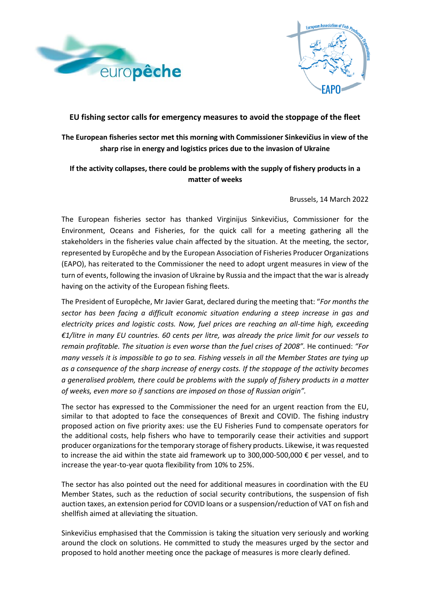



### **EU fishing sector calls for emergency measures to avoid the stoppage of the fleet**

# **The European fisheries sector met this morning with Commissioner Sinkevičius in view of the sharp rise in energy and logistics prices due to the invasion of Ukraine**

## **If the activity collapses, there could be problems with the supply of fishery products in a matter of weeks**

Brussels, 14 March 2022

The European fisheries sector has thanked Virginijus Sinkevičius, Commissioner for the Environment, Oceans and Fisheries, for the quick call for a meeting gathering all the stakeholders in the fisheries value chain affected by the situation. At the meeting, the sector, represented by Europêche and by the European Association of Fisheries Producer Organizations (EAPO), has reiterated to the Commissioner the need to adopt urgent measures in view of the turn of events, following the invasion of Ukraine by Russia and the impact that the war is already having on the activity of the European fishing fleets.

The President of Europêche, Mr Javier Garat, declared during the meeting that: "*For months the sector has been facing a difficult economic situation enduring a steep increase in gas and electricity prices and logistic costs. Now, fuel prices are reaching an all-time high, exceeding €1/litre in many EU countries. 60 cents per litre, was already the price limit for our vessels to remain profitable. The situation is even worse than the fuel crises of 2008".* He continued: *"For many vessels it is impossible to go to sea. Fishing vessels in all the Member States are tying up as a consequence of the sharp increase of energy costs. If the stoppage of the activity becomes a generalised problem, there could be problems with the supply of fishery products in a matter of weeks, even more so if sanctions are imposed on those of Russian origin".*

The sector has expressed to the Commissioner the need for an urgent reaction from the EU, similar to that adopted to face the consequences of Brexit and COVID. The fishing industry proposed action on five priority axes: use the EU Fisheries Fund to compensate operators for the additional costs, help fishers who have to temporarily cease their activities and support producer organizations for the temporary storage of fishery products. Likewise, it wasrequested to increase the aid within the state aid framework up to 300,000-500,000 € per vessel, and to increase the year-to-year quota flexibility from 10% to 25%.

The sector has also pointed out the need for additional measures in coordination with the EU Member States, such as the reduction of social security contributions, the suspension of fish auction taxes, an extension period for COVID loans or a suspension/reduction of VAT on fish and shellfish aimed at alleviating the situation.

Sinkevičius emphasised that the Commission is taking the situation very seriously and working around the clock on solutions. He committed to study the measures urged by the sector and proposed to hold another meeting once the package of measures is more clearly defined.